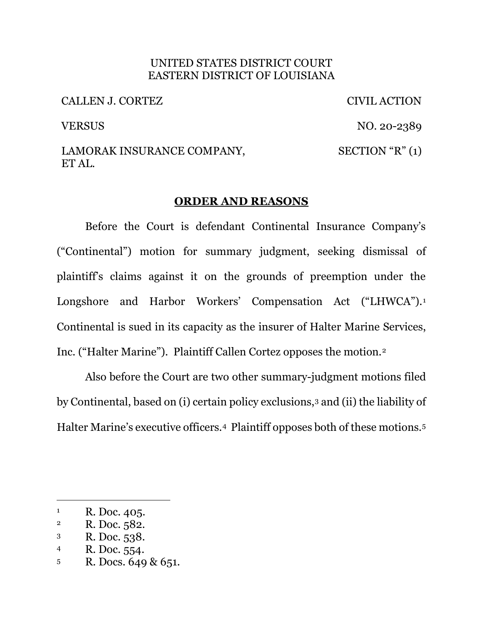## UNITED STATES DISTRICT COURT EASTERN DISTRICT OF LOUISIANA

CALLEN J. CORTEZ CIVIL ACTION

VERSUS NO. 20-2389

#### LAMORAK INSURANCE COMPANY, ET AL.  $SECTION "R" (1)$

# **ORDER AND REASONS**

Before the Court is defendant Continental Insurance Company's ("Continental") motion for summary judgment, seeking dismissal of plaintiff's claims against it on the grounds of preemption under the Longshore and Harbor Workers' Compensation Act ("LHWCA").<sup>1</sup> Continental is sued in its capacity as the insurer of Halter Marine Services, Inc. ("Halter Marine"). Plaintiff Callen Cortez opposes the motion.<sup>2</sup>

Also before the Court are two other summary-judgment motions filed by Continental, based on (i) certain policy exclusions,3 and (ii) the liability of Halter Marine's executive officers.4 Plaintiff opposes both of these motions.5

- 4 R. Doc. 554.
- 5 R. Docs. 649 & 651.

<sup>&</sup>lt;sup>1</sup> R. Doc. 405.<br><sup>2</sup> R. Doc. 582.

<sup>3</sup> R. Doc. 538.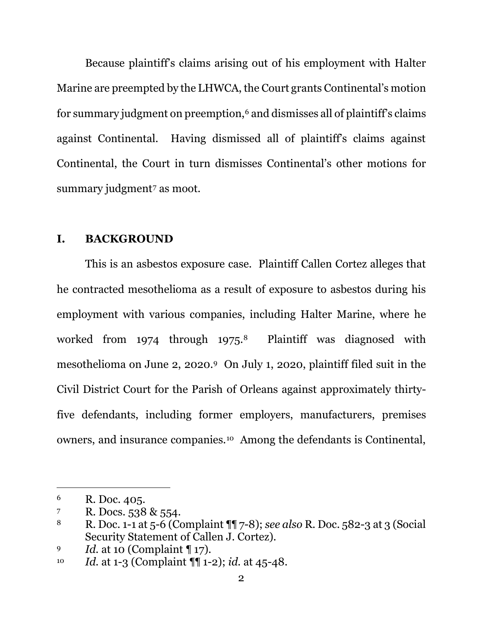Because plaintiff's claims arising out of his employment with Halter Marine are preempted by the LHWCA, the Court grants Continental's motion for summary judgment on preemption,6 and dismisses all of plaintiff's claims against Continental. Having dismissed all of plaintiff's claims against Continental, the Court in turn dismisses Continental's other motions for summary judgment<sup>7</sup> as moot.

## **I. BACKGROUND**

This is an asbestos exposure case. Plaintiff Callen Cortez alleges that he contracted mesothelioma as a result of exposure to asbestos during his employment with various companies, including Halter Marine, where he worked from 1974 through 1975.8 Plaintiff was diagnosed with mesothelioma on June 2, 2020.9 On July 1, 2020, plaintiff filed suit in the Civil District Court for the Parish of Orleans against approximately thirtyfive defendants, including former employers, manufacturers, premises owners, and insurance companies.10 Among the defendants is Continental,

<sup>6</sup> R. Doc. 405.

<sup>7</sup> R. Docs. 538 & 554.

<sup>8</sup> R. Doc. 1-1 at 5-6 (Complaint ¶¶ 7-8); *see also* R. Doc. 582-3 at 3 (Social Security Statement of Callen J. Cortez).

<sup>9</sup> *Id.* at 10 (Complaint ¶ 17).

<sup>10</sup> *Id.* at 1-3 (Complaint ¶¶ 1-2); *id.* at 45-48.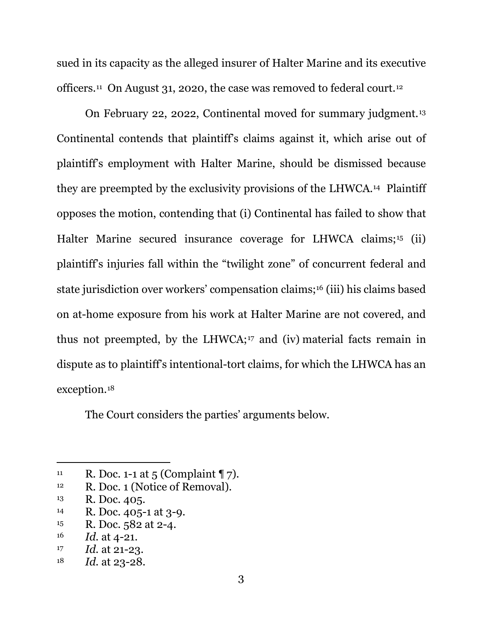sued in its capacity as the alleged insurer of Halter Marine and its executive officers.11 On August 31, 2020, the case was removed to federal court.12

On February 22, 2022, Continental moved for summary judgment.13 Continental contends that plaintiff's claims against it, which arise out of plaintiff's employment with Halter Marine, should be dismissed because they are preempted by the exclusivity provisions of the LHWCA.14 Plaintiff opposes the motion, contending that (i) Continental has failed to show that Halter Marine secured insurance coverage for LHWCA claims;<sup>15</sup> (ii) plaintiff's injuries fall within the "twilight zone" of concurrent federal and state jurisdiction over workers' compensation claims;16 (iii) his claims based on at-home exposure from his work at Halter Marine are not covered, and thus not preempted, by the LHWCA;17 and (iv) material facts remain in dispute as to plaintiff's intentional-tort claims, for which the LHWCA has an exception.18

The Court considers the parties' arguments below.

- <sup>13</sup> R. Doc. 405.<br><sup>14</sup> R. Doc. 405-1 at 3-9.
- $15$  R. Doc. 582 at 2-4.
- 16 *Id.* at 4-21.
- 17 *Id.* at 21-23.

<sup>&</sup>lt;sup>11</sup> R. Doc. 1-1 at 5 (Complaint  $\P$  7).

<sup>&</sup>lt;sup>12</sup> R. Doc. 1 (Notice of Removal).

<sup>18</sup> *Id.* at 23-28.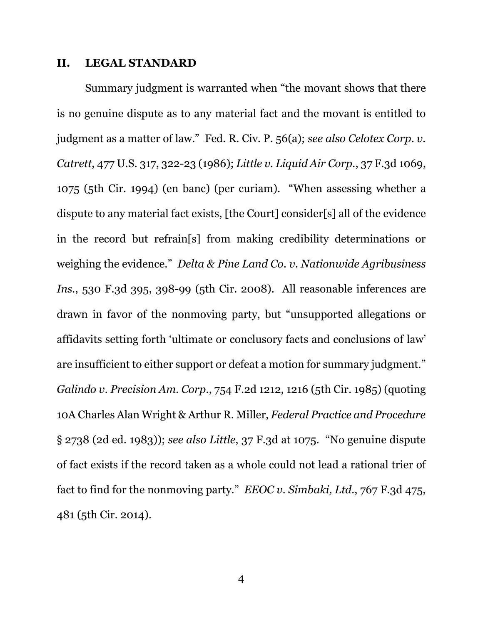#### **II. LEGAL STANDARD**

Summary judgment is warranted when "the movant shows that there is no genuine dispute as to any material fact and the movant is entitled to judgment as a matter of law." Fed. R. Civ. P. 56(a); *see also Celotex Corp. v. Catrett*, 477 U.S. 317, 322-23 (1986); *Little v. Liquid Air Corp.*, 37 F.3d 1069, 1075 (5th Cir. 1994) (en banc) (per curiam). "When assessing whether a dispute to any material fact exists, [the Court] consider[s] all of the evidence in the record but refrain[s] from making credibility determinations or weighing the evidence." *Delta & Pine Land Co. v. Nationwide Agribusiness Ins.*, 530 F.3d 395, 398-99 (5th Cir. 2008). All reasonable inferences are drawn in favor of the nonmoving party, but "unsupported allegations or affidavits setting forth 'ultimate or conclusory facts and conclusions of law' are insufficient to either support or defeat a motion for summary judgment." *Galindo v. Precision Am. Corp.*, 754 F.2d 1212, 1216 (5th Cir. 1985) (quoting 10A Charles Alan Wright & Arthur R. Miller, *Federal Practice and Procedure* § 2738 (2d ed. 1983)); *see also Little*, 37 F.3d at 1075. "No genuine dispute of fact exists if the record taken as a whole could not lead a rational trier of fact to find for the nonmoving party." *EEOC v. Simbaki, Ltd.*, 767 F.3d 475, 481 (5th Cir. 2014).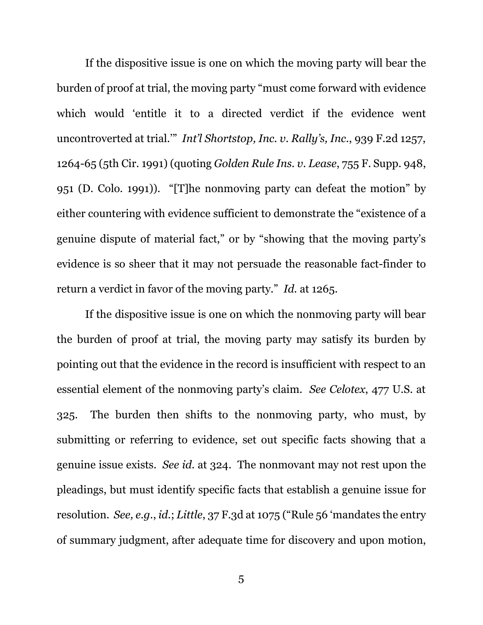If the dispositive issue is one on which the moving party will bear the burden of proof at trial, the moving party "must come forward with evidence which would 'entitle it to a directed verdict if the evidence went uncontroverted at trial.'" *Int'l Shortstop, Inc. v. Rally's, Inc.*, 939 F.2d 1257, 1264-65 (5th Cir. 1991) (quoting *Golden Rule Ins. v. Lease*, 755 F. Supp. 948, 951 (D. Colo. 1991)). "[T]he nonmoving party can defeat the motion" by either countering with evidence sufficient to demonstrate the "existence of a genuine dispute of material fact," or by "showing that the moving party's evidence is so sheer that it may not persuade the reasonable fact-finder to return a verdict in favor of the moving party." *Id.* at 1265.

If the dispositive issue is one on which the nonmoving party will bear the burden of proof at trial, the moving party may satisfy its burden by pointing out that the evidence in the record is insufficient with respect to an essential element of the nonmoving party's claim. *See Celotex*, 477 U.S. at 325. The burden then shifts to the nonmoving party, who must, by submitting or referring to evidence, set out specific facts showing that a genuine issue exists. *See id.* at 324. The nonmovant may not rest upon the pleadings, but must identify specific facts that establish a genuine issue for resolution. *See, e.g.*, *id.*; *Little*, 37 F.3d at 1075 ("Rule 56 'mandates the entry of summary judgment, after adequate time for discovery and upon motion,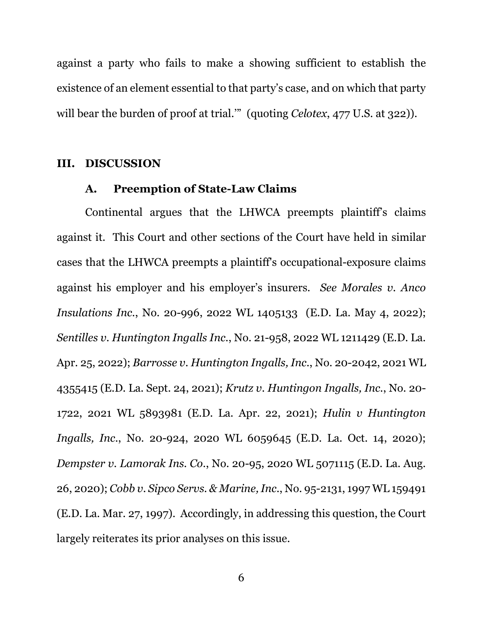against a party who fails to make a showing sufficient to establish the existence of an element essential to that party's case, and on which that party will bear the burden of proof at trial."" (quoting *Celotex*, 477 U.S. at 322)).

#### **III. DISCUSSION**

# **A. Preemption of State-Law Claims**

Continental argues that the LHWCA preempts plaintiff's claims against it. This Court and other sections of the Court have held in similar cases that the LHWCA preempts a plaintiff's occupational-exposure claims against his employer and his employer's insurers. *See Morales v. Anco Insulations Inc.*, No. 20-996, 2022 WL 1405133 (E.D. La. May 4, 2022); *Sentilles v. Huntington Ingalls Inc.*, No. 21-958, 2022 WL 1211429 (E.D. La. Apr. 25, 2022); *Barrosse v. Huntington Ingalls, Inc.*, No. 20-2042, 2021 WL 4355415 (E.D. La. Sept. 24, 2021); *Krutz v. Huntingon Ingalls, Inc.*, No. 20- 1722, 2021 WL 5893981 (E.D. La. Apr. 22, 2021); *Hulin v Huntington Ingalls, Inc.*, No. 20-924, 2020 WL 6059645 (E.D. La. Oct. 14, 2020); *Dempster v. Lamorak Ins. Co.*, No. 20-95, 2020 WL 5071115 (E.D. La. Aug. 26, 2020); *Cobb v. Sipco Servs. & Marine, Inc.*, No. 95-2131, 1997 WL 159491 (E.D. La. Mar. 27, 1997). Accordingly, in addressing this question, the Court largely reiterates its prior analyses on this issue.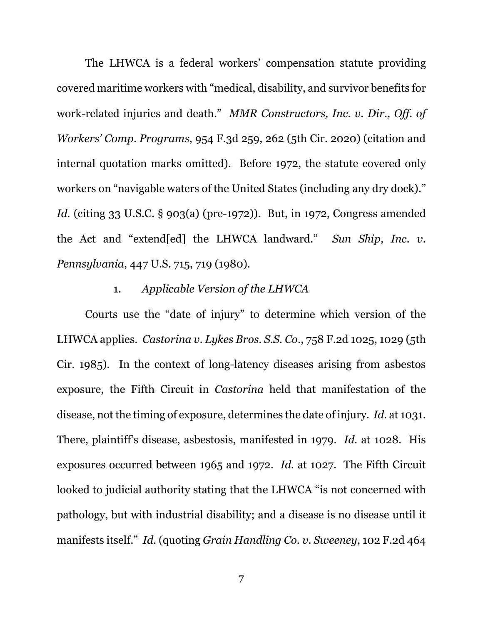The LHWCA is a federal workers' compensation statute providing covered maritime workers with "medical, disability, and survivor benefits for work-related injuries and death." *MMR Constructors, Inc. v. Dir., Off. of Workers' Comp. Programs*, 954 F.3d 259, 262 (5th Cir. 2020) (citation and internal quotation marks omitted). Before 1972, the statute covered only workers on "navigable waters of the United States (including any dry dock)." *Id.* (citing 33 U.S.C. § 903(a) (pre-1972)). But, in 1972, Congress amended the Act and "extend[ed] the LHWCA landward." *Sun Ship, Inc. v. Pennsylvania*, 447 U.S. 715, 719 (1980).

# 1. *Applicable Version of the LHWCA*

Courts use the "date of injury" to determine which version of the LHWCA applies. *Castorina v. Lykes Bros. S.S. Co.*, 758 F.2d 1025, 1029 (5th Cir. 1985). In the context of long-latency diseases arising from asbestos exposure, the Fifth Circuit in *Castorina* held that manifestation of the disease, not the timing of exposure, determines the date of injury. *Id.* at 1031. There, plaintiff's disease, asbestosis, manifested in 1979. *Id.* at 1028. His exposures occurred between 1965 and 1972. *Id.* at 1027. The Fifth Circuit looked to judicial authority stating that the LHWCA "is not concerned with pathology, but with industrial disability; and a disease is no disease until it manifests itself." *Id.* (quoting *Grain Handling Co. v. Sweeney*, 102 F.2d 464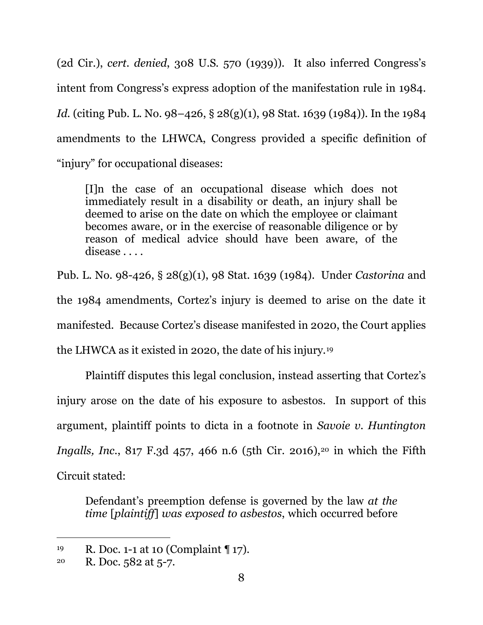(2d Cir.), *cert. denied*, 308 U.S. 570 (1939)). It also inferred Congress's intent from Congress's express adoption of the manifestation rule in 1984. *Id.* (citing Pub. L. No. 98–426, § 28(g)(1), 98 Stat. 1639 (1984)). In the 1984 amendments to the LHWCA, Congress provided a specific definition of "injury" for occupational diseases:

[I]n the case of an occupational disease which does not immediately result in a disability or death, an injury shall be deemed to arise on the date on which the employee or claimant becomes aware, or in the exercise of reasonable diligence or by reason of medical advice should have been aware, of the disease . . . .

Pub. L. No. 98-426, § 28(g)(1), 98 Stat. 1639 (1984). Under *Castorina* and the 1984 amendments, Cortez's injury is deemed to arise on the date it manifested. Because Cortez's disease manifested in 2020, the Court applies the LHWCA as it existed in 2020, the date of his injury.19

Plaintiff disputes this legal conclusion, instead asserting that Cortez's injury arose on the date of his exposure to asbestos. In support of this argument, plaintiff points to dicta in a footnote in *Savoie v. Huntington Ingalls, Inc.*, 817 F.3d 457, 466 n.6 (5th Cir. 2016),<sup>20</sup> in which the Fifth Circuit stated:

Defendant's preemption defense is governed by the law *at the time* [*plaintiff*] *was exposed to asbestos*, which occurred before

<sup>19</sup> R. Doc. 1-1 at 10 (Complaint ¶ 17).

<sup>&</sup>lt;sup>20</sup> R. Doc.  $582$  at  $5-7$ .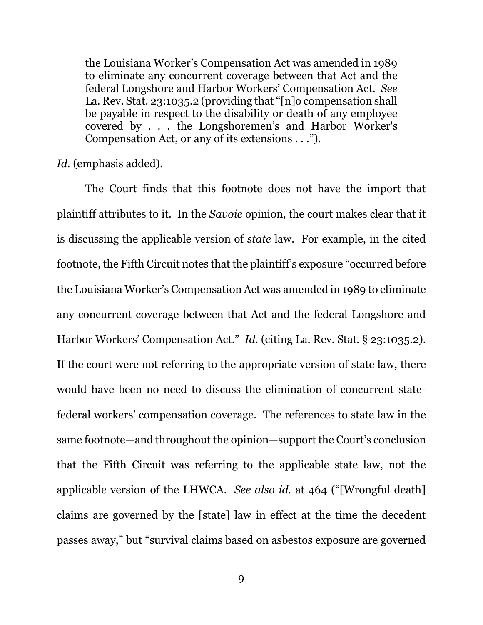the Louisiana Worker's Compensation Act was amended in 1989 to eliminate any concurrent coverage between that Act and the federal Longshore and Harbor Workers' Compensation Act. *See* La. Rev. Stat. 23:1035.2 (providing that "[n]o compensation shall be payable in respect to the disability or death of any employee covered by . . . the Longshoremen's and Harbor Worker's Compensation Act, or any of its extensions . . .").

*Id.* (emphasis added).

The Court finds that this footnote does not have the import that plaintiff attributes to it. In the *Savoie* opinion, the court makes clear that it is discussing the applicable version of *state* law. For example, in the cited footnote, the Fifth Circuit notes that the plaintiff's exposure "occurred before the Louisiana Worker's Compensation Act was amended in 1989 to eliminate any concurrent coverage between that Act and the federal Longshore and Harbor Workers' Compensation Act." *Id.* (citing La. Rev. Stat. § 23:1035.2). If the court were not referring to the appropriate version of state law, there would have been no need to discuss the elimination of concurrent statefederal workers' compensation coverage. The references to state law in the same footnote—and throughout the opinion—support the Court's conclusion that the Fifth Circuit was referring to the applicable state law, not the applicable version of the LHWCA. *See also id.* at 464 ("[Wrongful death] claims are governed by the [state] law in effect at the time the decedent passes away," but "survival claims based on asbestos exposure are governed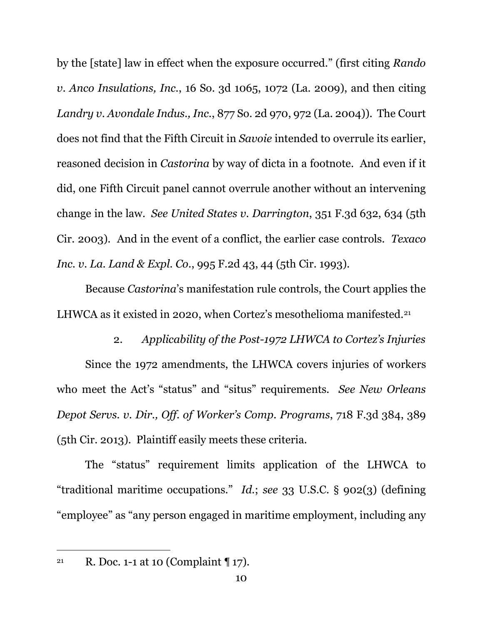by the [state] law in effect when the exposure occurred." (first citing *Rando v. Anco Insulations, Inc.*, 16 So. 3d 1065, 1072 (La. 2009), and then citing *Landry v. Avondale Indus., Inc.*, 877 So. 2d 970, 972 (La. 2004)). The Court does not find that the Fifth Circuit in *Savoie* intended to overrule its earlier, reasoned decision in *Castorina* by way of dicta in a footnote. And even if it did, one Fifth Circuit panel cannot overrule another without an intervening change in the law. *See United States v. Darrington*, 351 F.3d 632, 634 (5th Cir. 2003). And in the event of a conflict, the earlier case controls. *Texaco Inc. v. La. Land & Expl. Co.*, 995 F.2d 43, 44 (5th Cir. 1993).

Because *Castorina*'s manifestation rule controls, the Court applies the LHWCA as it existed in 2020, when Cortez's mesothelioma manifested.<sup>21</sup>

2. *Applicability of the Post-1972 LHWCA to Cortez's Injuries* Since the 1972 amendments, the LHWCA covers injuries of workers who meet the Act's "status" and "situs" requirements. *See New Orleans Depot Servs. v. Dir., Off. of Worker's Comp. Programs*, 718 F.3d 384, 389 (5th Cir. 2013). Plaintiff easily meets these criteria.

The "status" requirement limits application of the LHWCA to "traditional maritime occupations." *Id.*; *see* 33 U.S.C. § 902(3) (defining "employee" as "any person engaged in maritime employment, including any

<sup>21</sup> R. Doc. 1-1 at 10 (Complaint  $\P$  17).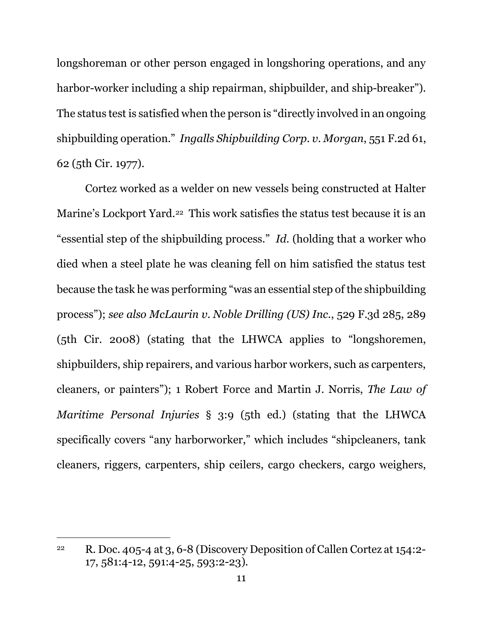longshoreman or other person engaged in longshoring operations, and any harbor-worker including a ship repairman, shipbuilder, and ship-breaker"). The status test is satisfied when the person is "directly involved in an ongoing shipbuilding operation." *Ingalls Shipbuilding Corp. v. Morgan*, 551 F.2d 61, 62 (5th Cir. 1977).

Cortez worked as a welder on new vessels being constructed at Halter Marine's Lockport Yard.<sup>22</sup> This work satisfies the status test because it is an "essential step of the shipbuilding process." *Id.* (holding that a worker who died when a steel plate he was cleaning fell on him satisfied the status test because the task he was performing "was an essential step of the shipbuilding process"); *see also McLaurin v. Noble Drilling (US) Inc.*, 529 F.3d 285, 289 (5th Cir. 2008) (stating that the LHWCA applies to "longshoremen, shipbuilders, ship repairers, and various harbor workers, such as carpenters, cleaners, or painters"); 1 Robert Force and Martin J. Norris, *The Law of Maritime Personal Injuries* § 3:9 (5th ed.) (stating that the LHWCA specifically covers "any harborworker," which includes "shipcleaners, tank cleaners, riggers, carpenters, ship ceilers, cargo checkers, cargo weighers,

<sup>22</sup> R. Doc. 405-4 at 3, 6-8 (Discovery Deposition of Callen Cortez at 154:2- 17, 581:4-12, 591:4-25, 593:2-23).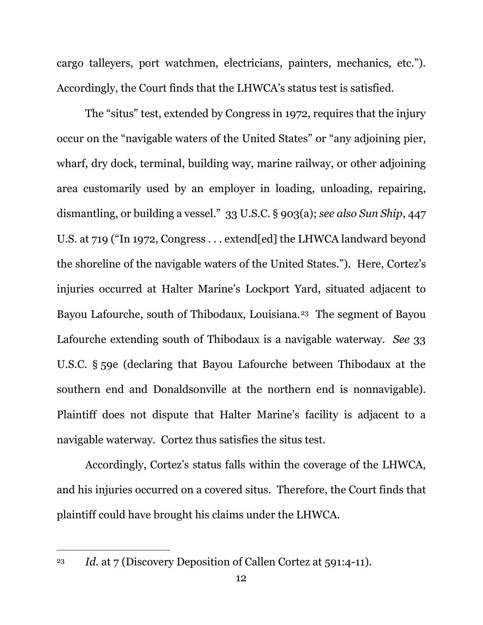cargo talleyers, port watchmen, electricians, painters, mechanics, etc."). Accordingly, the Court finds that the LHWCA's status test is satisfied.

The "situs" test, extended by Congress in 1972, requires that the injury occur on the "navigable waters of the United States" or "any adjoining pier, wharf, dry dock, terminal, building way, marine railway, or other adjoining area customarily used by an employer in loading, unloading, repairing, dismantling, or building a vessel." 33 U.S.C. § 903(a); *see also Sun Ship*, 447 U.S. at 719 ("In 1972, Congress . . . extend[ed] the LHWCA landward beyond the shoreline of the navigable waters of the United States."). Here, Cortez's injuries occurred at Halter Marine's Lockport Yard, situated adjacent to Bayou Lafourche, south of Thibodaux, Louisiana.<sup>23</sup> The segment of Bayou Lafourche extending south of Thibodaux is a navigable waterway. *See* 33 U.S.C. § 59e (declaring that Bayou Lafourche between Thibodaux at the southern end and Donaldsonville at the northern end is nonnavigable). Plaintiff does not dispute that Halter Marine's facility is adjacent to a navigable waterway. Cortez thus satisfies the situs test.

Accordingly, Cortez's status falls within the coverage of the LHWCA, and his injuries occurred on a covered situs. Therefore, the Court finds that plaintiff could have brought his claims under the LHWCA.

<sup>23</sup> *Id.* at 7 (Discovery Deposition of Callen Cortez at 591:4-11).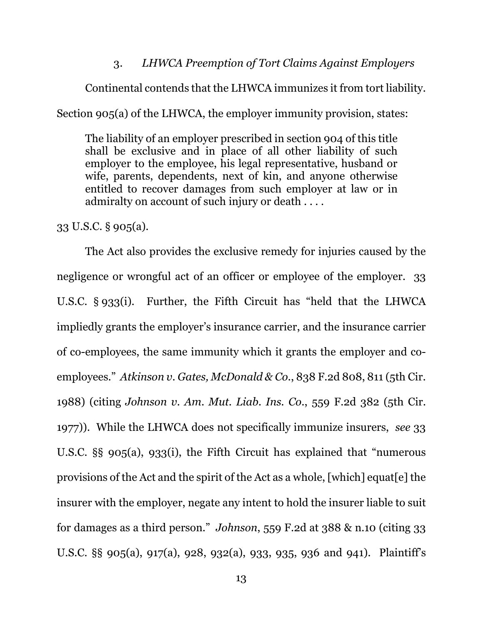## 3. *LHWCA Preemption of Tort Claims Against Employers*

Continental contends that the LHWCA immunizes it from tort liability.

Section 905(a) of the LHWCA, the employer immunity provision, states:

The liability of an employer prescribed in section 904 of this title shall be exclusive and in place of all other liability of such employer to the employee, his legal representative, husband or wife, parents, dependents, next of kin, and anyone otherwise entitled to recover damages from such employer at law or in admiralty on account of such injury or death . . . .

33 U.S.C. § 905(a).

The Act also provides the exclusive remedy for injuries caused by the negligence or wrongful act of an officer or employee of the employer. 33 U.S.C. § 933(i). Further, the Fifth Circuit has "held that the LHWCA impliedly grants the employer's insurance carrier, and the insurance carrier of co-employees, the same immunity which it grants the employer and coemployees." *Atkinson v. Gates, McDonald & Co.*, 838 F.2d 808, 811 (5th Cir. 1988) (citing *Johnson v. Am. Mut. Liab. Ins. Co.*, 559 F.2d 382 (5th Cir. 1977)). While the LHWCA does not specifically immunize insurers, *see* 33 U.S.C. §§ 905(a), 933(i), the Fifth Circuit has explained that "numerous provisions of the Act and the spirit of the Act as a whole, [which] equat[e] the insurer with the employer, negate any intent to hold the insurer liable to suit for damages as a third person." *Johnson*, 559 F.2d at 388 & n.10 (citing 33 U.S.C. §§ 905(a), 917(a), 928, 932(a), 933, 935, 936 and 941). Plaintiff's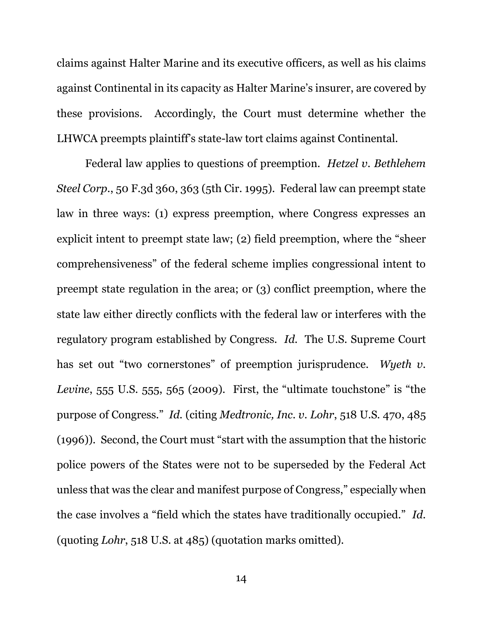claims against Halter Marine and its executive officers, as well as his claims against Continental in its capacity as Halter Marine's insurer, are covered by these provisions. Accordingly, the Court must determine whether the LHWCA preempts plaintiff's state-law tort claims against Continental.

Federal law applies to questions of preemption. *Hetzel v. Bethlehem Steel Corp.*, 50 F.3d 360, 363 (5th Cir. 1995). Federal law can preempt state law in three ways: (1) express preemption, where Congress expresses an explicit intent to preempt state law; (2) field preemption, where the "sheer comprehensiveness" of the federal scheme implies congressional intent to preempt state regulation in the area; or (3) conflict preemption, where the state law either directly conflicts with the federal law or interferes with the regulatory program established by Congress. *Id.* The U.S. Supreme Court has set out "two cornerstones" of preemption jurisprudence. Wyeth v. *Levine*, 555 U.S. 555, 565 (2009). First, the "ultimate touchstone" is "the purpose of Congress." *Id.* (citing *Medtronic, Inc. v. Lohr*, 518 U.S. 470, 485 (1996)). Second, the Court must "start with the assumption that the historic police powers of the States were not to be superseded by the Federal Act unless that was the clear and manifest purpose of Congress," especially when the case involves a "field which the states have traditionally occupied." *Id.* (quoting *Lohr*, 518 U.S. at 485) (quotation marks omitted).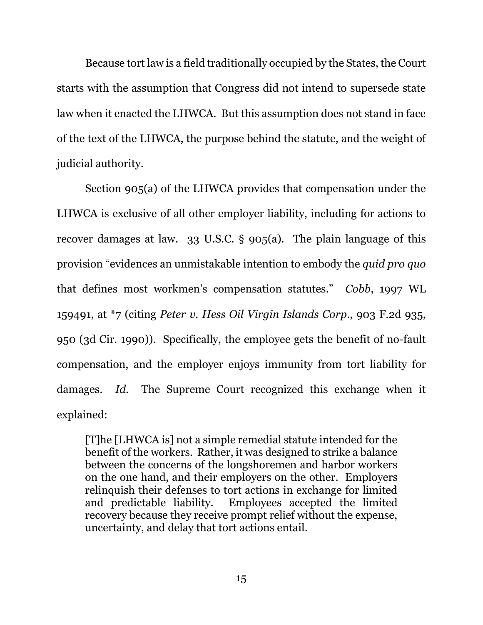Because tort law is a field traditionally occupied by the States, the Court starts with the assumption that Congress did not intend to supersede state law when it enacted the LHWCA. But this assumption does not stand in face of the text of the LHWCA, the purpose behind the statute, and the weight of judicial authority.

Section 905(a) of the LHWCA provides that compensation under the LHWCA is exclusive of all other employer liability, including for actions to recover damages at law. 33 U.S.C. § 905(a). The plain language of this provision "evidences an unmistakable intention to embody the *quid pro quo* that defines most workmen's compensation statutes." *Cobb*, 1997 WL 159491, at \*7 (citing *Peter v. Hess Oil Virgin Islands Corp.*, 903 F.2d 935, 950 (3d Cir. 1990)). Specifically, the employee gets the benefit of no-fault compensation, and the employer enjoys immunity from tort liability for damages. *Id.* The Supreme Court recognized this exchange when it explained:

[T]he [LHWCA is] not a simple remedial statute intended for the benefit of the workers. Rather, it was designed to strike a balance between the concerns of the longshoremen and harbor workers on the one hand, and their employers on the other. Employers relinquish their defenses to tort actions in exchange for limited and predictable liability. Employees accepted the limited recovery because they receive prompt relief without the expense, uncertainty, and delay that tort actions entail.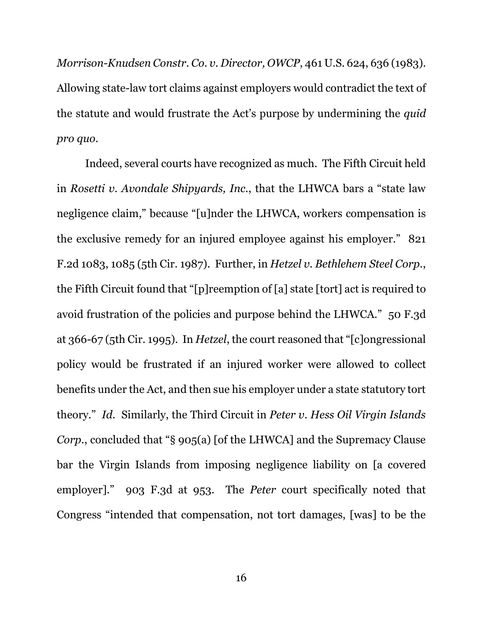*Morrison-Knudsen Constr. Co. v. Director, OWCP*, 461 U.S. 624, 636 (1983). Allowing state-law tort claims against employers would contradict the text of the statute and would frustrate the Act's purpose by undermining the *quid pro quo*.

Indeed, several courts have recognized as much. The Fifth Circuit held in *Rosetti v. Avondale Shipyards, Inc.*, that the LHWCA bars a "state law negligence claim," because "[u]nder the LHWCA, workers compensation is the exclusive remedy for an injured employee against his employer." 821 F.2d 1083, 1085 (5th Cir. 1987). Further, in *Hetzel v. Bethlehem Steel Corp.*, the Fifth Circuit found that "[p]reemption of [a] state [tort] act is required to avoid frustration of the policies and purpose behind the LHWCA." 50 F.3d at 366-67 (5th Cir. 1995). In *Hetzel*, the court reasoned that "[c]ongressional policy would be frustrated if an injured worker were allowed to collect benefits under the Act, and then sue his employer under a state statutory tort theory." *Id.* Similarly, the Third Circuit in *Peter v. Hess Oil Virgin Islands Corp.*, concluded that "§ 905(a) [of the LHWCA] and the Supremacy Clause bar the Virgin Islands from imposing negligence liability on [a covered employer]." 903 F.3d at 953. The *Peter* court specifically noted that Congress "intended that compensation, not tort damages, [was] to be the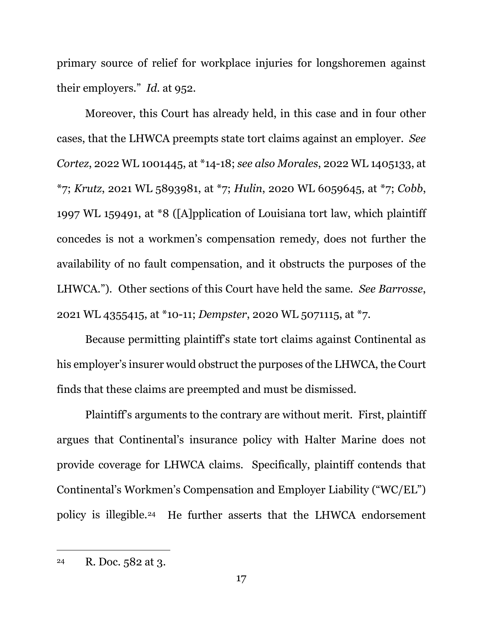primary source of relief for workplace injuries for longshoremen against their employers." *Id*. at 952.

Moreover, this Court has already held, in this case and in four other cases, that the LHWCA preempts state tort claims against an employer. *See Cortez*, 2022 WL 1001445, at \*14-18; *see also Morales*, 2022 WL 1405133, at \*7; *Krutz*, 2021 WL 5893981, at \*7; *Hulin*, 2020 WL 6059645, at \*7; *Cobb*, 1997 WL 159491, at \*8 ([A]pplication of Louisiana tort law, which plaintiff concedes is not a workmen's compensation remedy, does not further the availability of no fault compensation, and it obstructs the purposes of the LHWCA."). Other sections of this Court have held the same. *See Barrosse*, 2021 WL 4355415, at \*10-11; *Dempster*, 2020 WL 5071115, at \*7.

Because permitting plaintiff's state tort claims against Continental as his employer's insurer would obstruct the purposes of the LHWCA, the Court finds that these claims are preempted and must be dismissed.

Plaintiff's arguments to the contrary are without merit. First, plaintiff argues that Continental's insurance policy with Halter Marine does not provide coverage for LHWCA claims. Specifically, plaintiff contends that Continental's Workmen's Compensation and Employer Liability ("WC/EL") policy is illegible.24 He further asserts that the LHWCA endorsement

<sup>24</sup> R. Doc. 582 at 3.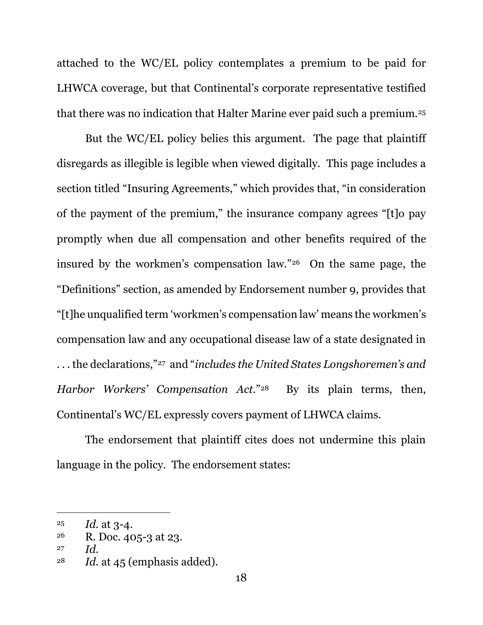attached to the WC/EL policy contemplates a premium to be paid for LHWCA coverage, but that Continental's corporate representative testified that there was no indication that Halter Marine ever paid such a premium.<sup>25</sup>

But the WC/EL policy belies this argument. The page that plaintiff disregards as illegible is legible when viewed digitally. This page includes a section titled "Insuring Agreements," which provides that, "in consideration of the payment of the premium," the insurance company agrees "[t]o pay promptly when due all compensation and other benefits required of the insured by the workmen's compensation law."26 On the same page, the "Definitions" section, as amended by Endorsement number 9, provides that "[t]he unqualified term 'workmen's compensation law' means the workmen's compensation law and any occupational disease law of a state designated in . . . the declarations,"27 and "*includes the United States Longshoremen's and Harbor Workers' Compensation Act*."28 By its plain terms, then, Continental's WC/EL expressly covers payment of LHWCA claims.

The endorsement that plaintiff cites does not undermine this plain language in the policy. The endorsement states:

 $^{25}$  *Id.* at 3-4.

<sup>&</sup>lt;sup>26</sup> R. Doc. 405-3 at 23.

<sup>27</sup> *Id.*

<sup>&</sup>lt;sup>28</sup> *Id.* at 45 (emphasis added).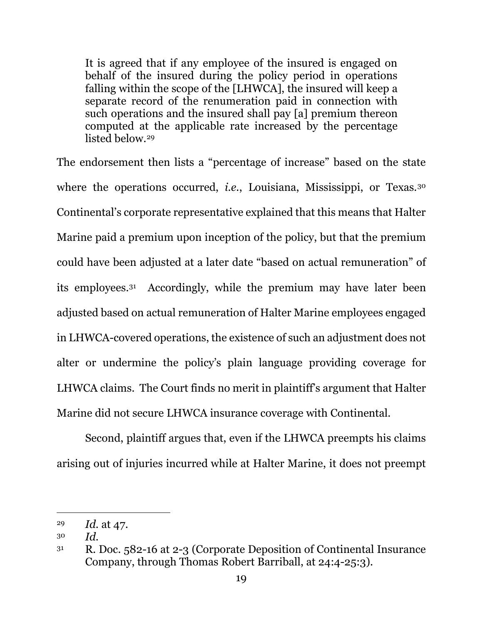It is agreed that if any employee of the insured is engaged on behalf of the insured during the policy period in operations falling within the scope of the [LHWCA], the insured will keep a separate record of the renumeration paid in connection with such operations and the insured shall pay [a] premium thereon computed at the applicable rate increased by the percentage listed below.29

The endorsement then lists a "percentage of increase" based on the state where the operations occurred, *i.e.*, Louisiana, Mississippi, or Texas.<sup>30</sup> Continental's corporate representative explained that this means that Halter Marine paid a premium upon inception of the policy, but that the premium could have been adjusted at a later date "based on actual remuneration" of its employees.31 Accordingly, while the premium may have later been adjusted based on actual remuneration of Halter Marine employees engaged in LHWCA-covered operations, the existence of such an adjustment does not alter or undermine the policy's plain language providing coverage for LHWCA claims. The Court finds no merit in plaintiff's argument that Halter Marine did not secure LHWCA insurance coverage with Continental.

Second, plaintiff argues that, even if the LHWCA preempts his claims arising out of injuries incurred while at Halter Marine, it does not preempt

<sup>29</sup> *Id.* at 47.

<sup>30</sup> *Id.*

<sup>31</sup> R. Doc. 582-16 at 2-3 (Corporate Deposition of Continental Insurance Company, through Thomas Robert Barriball, at 24:4-25:3).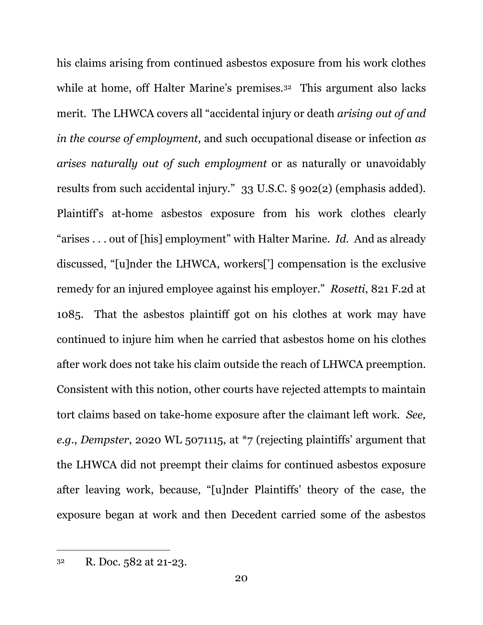his claims arising from continued asbestos exposure from his work clothes while at home, off Halter Marine's premises.<sup>32</sup> This argument also lacks merit. The LHWCA covers all "accidental injury or death *arising out of and in the course of employment*, and such occupational disease or infection *as arises naturally out of such employment* or as naturally or unavoidably results from such accidental injury." 33 U.S.C. § 902(2) (emphasis added). Plaintiff's at-home asbestos exposure from his work clothes clearly "arises . . . out of [his] employment" with Halter Marine. *Id.* And as already discussed, "[u]nder the LHWCA, workers['] compensation is the exclusive remedy for an injured employee against his employer." *Rosetti*, 821 F.2d at 1085. That the asbestos plaintiff got on his clothes at work may have continued to injure him when he carried that asbestos home on his clothes after work does not take his claim outside the reach of LHWCA preemption. Consistent with this notion, other courts have rejected attempts to maintain tort claims based on take-home exposure after the claimant left work. *See, e.g.*, *Dempster*, 2020 WL 5071115, at \*7 (rejecting plaintiffs' argument that the LHWCA did not preempt their claims for continued asbestos exposure after leaving work, because, "[u]nder Plaintiffs' theory of the case, the exposure began at work and then Decedent carried some of the asbestos

<sup>32</sup> R. Doc. 582 at 21-23.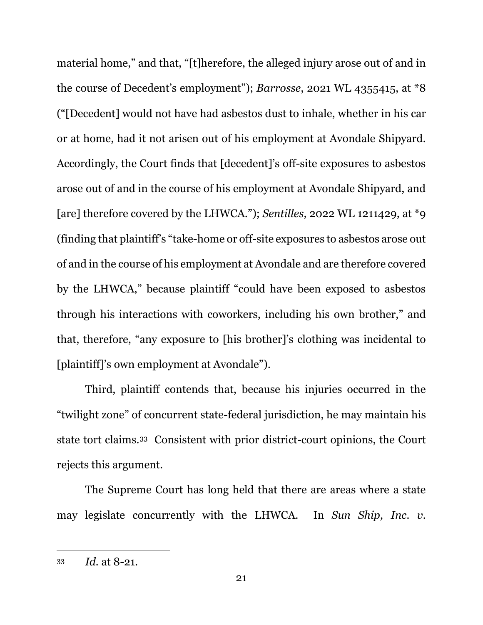material home," and that, "[t]herefore, the alleged injury arose out of and in the course of Decedent's employment"); *Barrosse*, 2021 WL 4355415, at \*8 ("[Decedent] would not have had asbestos dust to inhale, whether in his car or at home, had it not arisen out of his employment at Avondale Shipyard. Accordingly, the Court finds that [decedent]'s off-site exposures to asbestos arose out of and in the course of his employment at Avondale Shipyard, and [are] therefore covered by the LHWCA."); *Sentilles*, 2022 WL 1211429, at \*9 (finding that plaintiff's "take-home or off-site exposures to asbestos arose out of and in the course of his employment at Avondale and are therefore covered by the LHWCA," because plaintiff "could have been exposed to asbestos through his interactions with coworkers, including his own brother," and that, therefore, "any exposure to [his brother]'s clothing was incidental to [plaintiff]'s own employment at Avondale").

Third, plaintiff contends that, because his injuries occurred in the "twilight zone" of concurrent state-federal jurisdiction, he may maintain his state tort claims.33 Consistent with prior district-court opinions, the Court rejects this argument.

The Supreme Court has long held that there are areas where a state may legislate concurrently with the LHWCA. In *Sun Ship, Inc. v.* 

<sup>33</sup> *Id.* at 8-21.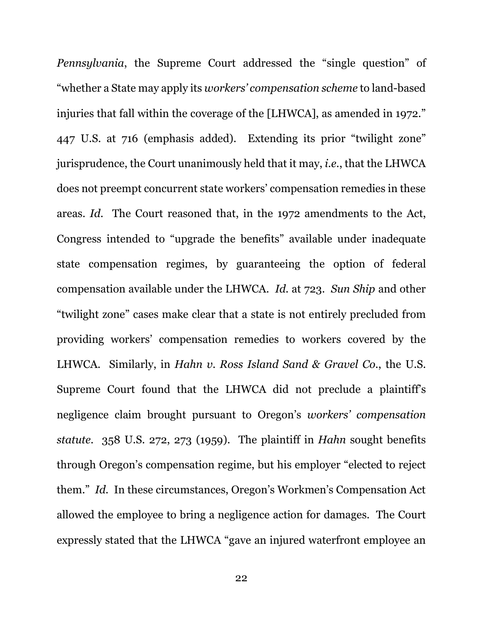*Pennsylvania*, the Supreme Court addressed the "single question" of "whether a State may apply its *workers' compensation scheme* to land-based injuries that fall within the coverage of the [LHWCA], as amended in 1972." 447 U.S. at 716 (emphasis added). Extending its prior "twilight zone" jurisprudence, the Court unanimously held that it may, *i.e.*, that the LHWCA does not preempt concurrent state workers' compensation remedies in these areas. *Id.* The Court reasoned that, in the 1972 amendments to the Act, Congress intended to "upgrade the benefits" available under inadequate state compensation regimes, by guaranteeing the option of federal compensation available under the LHWCA. *Id.* at 723. *Sun Ship* and other "twilight zone" cases make clear that a state is not entirely precluded from providing workers' compensation remedies to workers covered by the LHWCA. Similarly, in *Hahn v. Ross Island Sand & Gravel Co.*, the U.S. Supreme Court found that the LHWCA did not preclude a plaintiff's negligence claim brought pursuant to Oregon's *workers' compensation statute*. 358 U.S. 272, 273 (1959). The plaintiff in *Hahn* sought benefits through Oregon's compensation regime, but his employer "elected to reject them." *Id.* In these circumstances, Oregon's Workmen's Compensation Act allowed the employee to bring a negligence action for damages. The Court expressly stated that the LHWCA "gave an injured waterfront employee an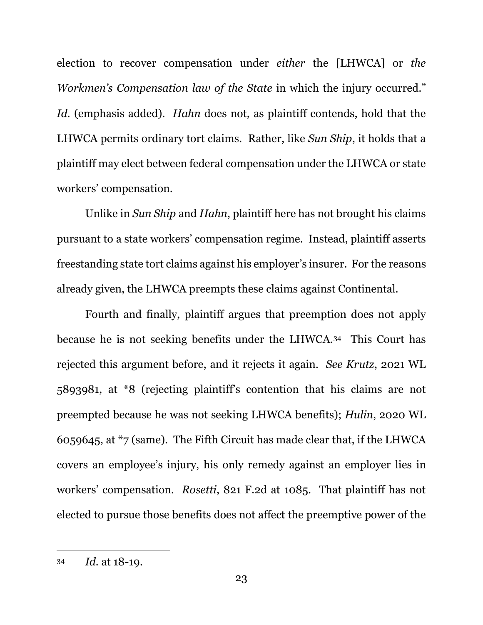election to recover compensation under *either* the [LHWCA] or *the Workmen's Compensation law of the State* in which the injury occurred." *Id.* (emphasis added). *Hahn* does not, as plaintiff contends, hold that the LHWCA permits ordinary tort claims. Rather, like *Sun Ship*, it holds that a plaintiff may elect between federal compensation under the LHWCA or state workers' compensation.

Unlike in *Sun Ship* and *Hahn*, plaintiff here has not brought his claims pursuant to a state workers' compensation regime. Instead, plaintiff asserts freestanding state tort claims against his employer's insurer. For the reasons already given, the LHWCA preempts these claims against Continental.

Fourth and finally, plaintiff argues that preemption does not apply because he is not seeking benefits under the LHWCA.34 This Court has rejected this argument before, and it rejects it again. *See Krutz*, 2021 WL 5893981, at \*8 (rejecting plaintiff's contention that his claims are not preempted because he was not seeking LHWCA benefits); *Hulin*, 2020 WL 6059645, at \*7 (same). The Fifth Circuit has made clear that, if the LHWCA covers an employee's injury, his only remedy against an employer lies in workers' compensation. *Rosetti*, 821 F.2d at 1085. That plaintiff has not elected to pursue those benefits does not affect the preemptive power of the

<sup>34</sup> *Id.* at 18-19.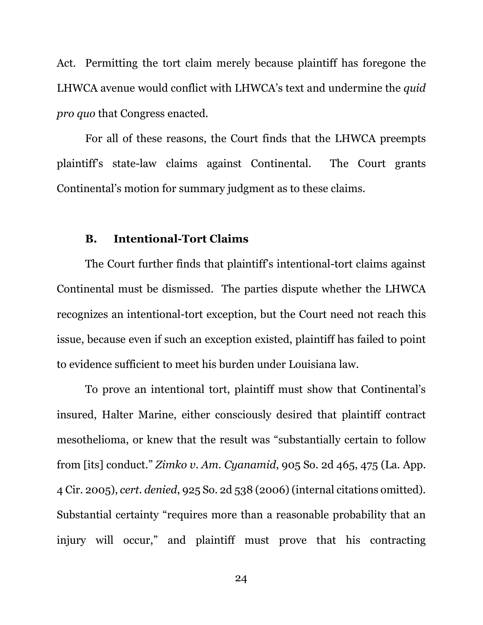Act. Permitting the tort claim merely because plaintiff has foregone the LHWCA avenue would conflict with LHWCA's text and undermine the *quid pro quo* that Congress enacted.

For all of these reasons, the Court finds that the LHWCA preempts plaintiff's state-law claims against Continental. The Court grants Continental's motion for summary judgment as to these claims.

### **B. Intentional-Tort Claims**

The Court further finds that plaintiff's intentional-tort claims against Continental must be dismissed. The parties dispute whether the LHWCA recognizes an intentional-tort exception, but the Court need not reach this issue, because even if such an exception existed, plaintiff has failed to point to evidence sufficient to meet his burden under Louisiana law.

To prove an intentional tort, plaintiff must show that Continental's insured, Halter Marine, either consciously desired that plaintiff contract mesothelioma, or knew that the result was "substantially certain to follow from [its] conduct." *Zimko v. Am. Cyanamid*, 905 So. 2d 465, 475 (La. App. 4 Cir. 2005), *cert. denied*, 925 So. 2d 538 (2006) (internal citations omitted). Substantial certainty "requires more than a reasonable probability that an injury will occur," and plaintiff must prove that his contracting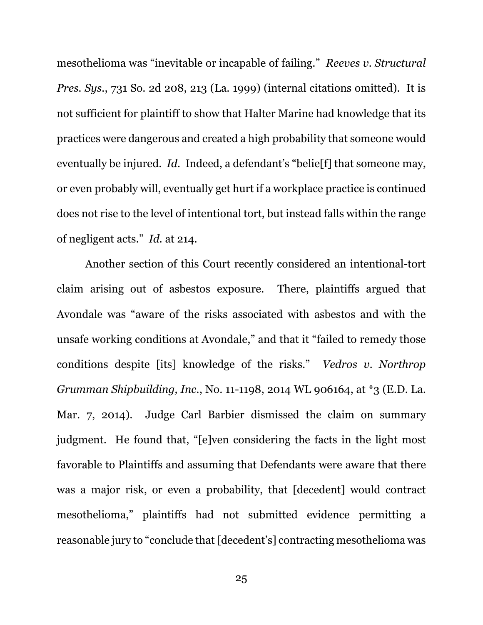mesothelioma was "inevitable or incapable of failing." *Reeves v. Structural Pres. Sys.*, 731 So. 2d 208, 213 (La. 1999) (internal citations omitted). It is not sufficient for plaintiff to show that Halter Marine had knowledge that its practices were dangerous and created a high probability that someone would eventually be injured. *Id.* Indeed, a defendant's "belie[f] that someone may, or even probably will, eventually get hurt if a workplace practice is continued does not rise to the level of intentional tort, but instead falls within the range of negligent acts." *Id.* at 214.

Another section of this Court recently considered an intentional-tort claim arising out of asbestos exposure. There, plaintiffs argued that Avondale was "aware of the risks associated with asbestos and with the unsafe working conditions at Avondale," and that it "failed to remedy those conditions despite [its] knowledge of the risks." *Vedros v. Northrop Grumman Shipbuilding, Inc.*, No. 11-1198, 2014 WL 906164, at \*3 (E.D. La. Mar. 7, 2014). Judge Carl Barbier dismissed the claim on summary judgment. He found that, "[e]ven considering the facts in the light most favorable to Plaintiffs and assuming that Defendants were aware that there was a major risk, or even a probability, that [decedent] would contract mesothelioma," plaintiffs had not submitted evidence permitting a reasonable jury to "conclude that [decedent's] contracting mesothelioma was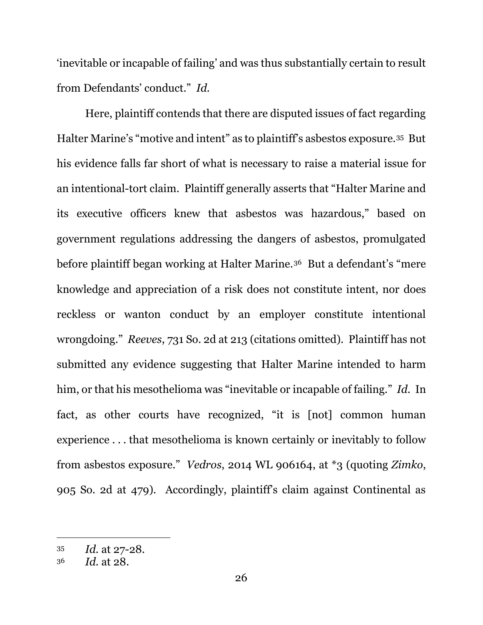'inevitable or incapable of failing' and was thus substantially certain to result from Defendants' conduct." *Id.*

Here, plaintiff contends that there are disputed issues of fact regarding Halter Marine's "motive and intent" as to plaintiff's asbestos exposure.35 But his evidence falls far short of what is necessary to raise a material issue for an intentional-tort claim. Plaintiff generally asserts that "Halter Marine and its executive officers knew that asbestos was hazardous," based on government regulations addressing the dangers of asbestos, promulgated before plaintiff began working at Halter Marine.36 But a defendant's "mere knowledge and appreciation of a risk does not constitute intent, nor does reckless or wanton conduct by an employer constitute intentional wrongdoing." *Reeves*, 731 So. 2d at 213 (citations omitted). Plaintiff has not submitted any evidence suggesting that Halter Marine intended to harm him, or that his mesothelioma was "inevitable or incapable of failing." *Id.* In fact, as other courts have recognized, "it is [not] common human experience . . . that mesothelioma is known certainly or inevitably to follow from asbestos exposure." *Vedros*, 2014 WL 906164, at \*3 (quoting *Zimko*, 905 So. 2d at 479). Accordingly, plaintiff's claim against Continental as

<sup>35</sup>*Id.* at 27-28. 36 *Id.* at 28.